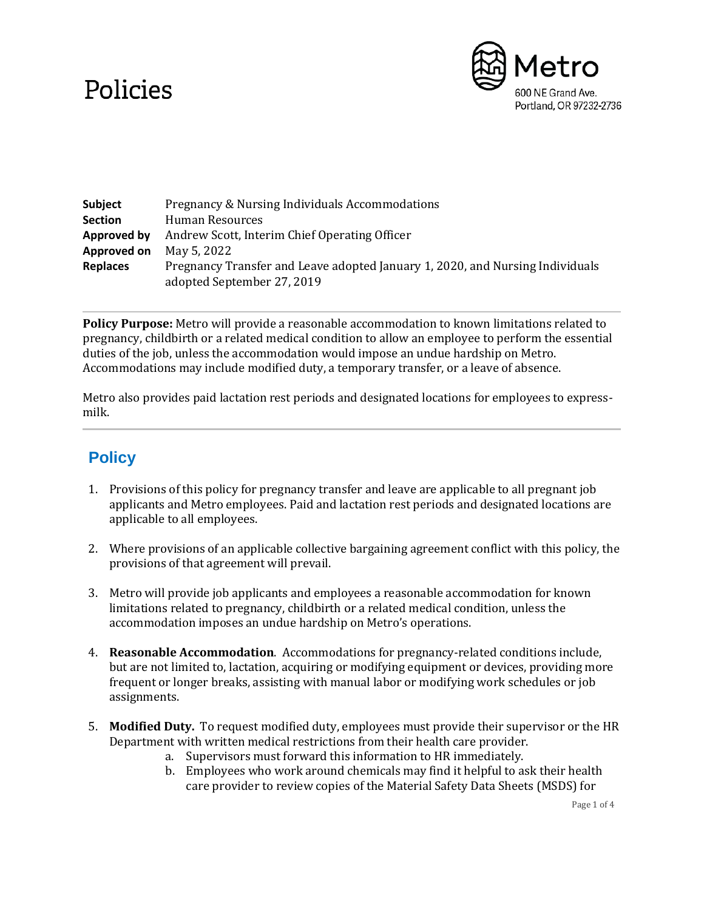## Policies



| Subject         | Pregnancy & Nursing Individuals Accommodations                                                              |
|-----------------|-------------------------------------------------------------------------------------------------------------|
| <b>Section</b>  | Human Resources                                                                                             |
| Approved by     | Andrew Scott, Interim Chief Operating Officer                                                               |
| Approved on     | May 5, 2022                                                                                                 |
| <b>Replaces</b> | Pregnancy Transfer and Leave adopted January 1, 2020, and Nursing Individuals<br>adopted September 27, 2019 |

**Policy Purpose:** Metro will provide a reasonable accommodation to known limitations related to pregnancy, childbirth or a related medical condition to allow an employee to perform the essential duties of the job, unless the accommodation would impose an undue hardship on Metro. Accommodations may include modified duty, a temporary transfer, or a leave of absence.

Metro also provides paid lactation rest periods and designated locations for employees to expressmilk.

## **Policy**

- 1. Provisions of this policy for pregnancy transfer and leave are applicable to all pregnant job applicants and Metro employees. Paid and lactation rest periods and designated locations are applicable to all employees.
- 2. Where provisions of an applicable collective bargaining agreement conflict with this policy, the provisions of that agreement will prevail.
- 3. Metro will provide job applicants and employees a reasonable accommodation for known limitations related to pregnancy, childbirth or a related medical condition, unless the accommodation imposes an undue hardship on Metro's operations.
- 4. **Reasonable Accommodation**. Accommodations for pregnancy-related conditions include, but are not limited to, lactation, acquiring or modifying equipment or devices, providing more frequent or longer breaks, assisting with manual labor or modifying work schedules or job assignments.
- 5. **Modified Duty.** To request modified duty, employees must provide their supervisor or the HR Department with written medical restrictions from their health care provider.
	- a. Supervisors must forward this information to HR immediately.
	- b. Employees who work around chemicals may find it helpful to ask their health care provider to review copies of the Material Safety Data Sheets (MSDS) for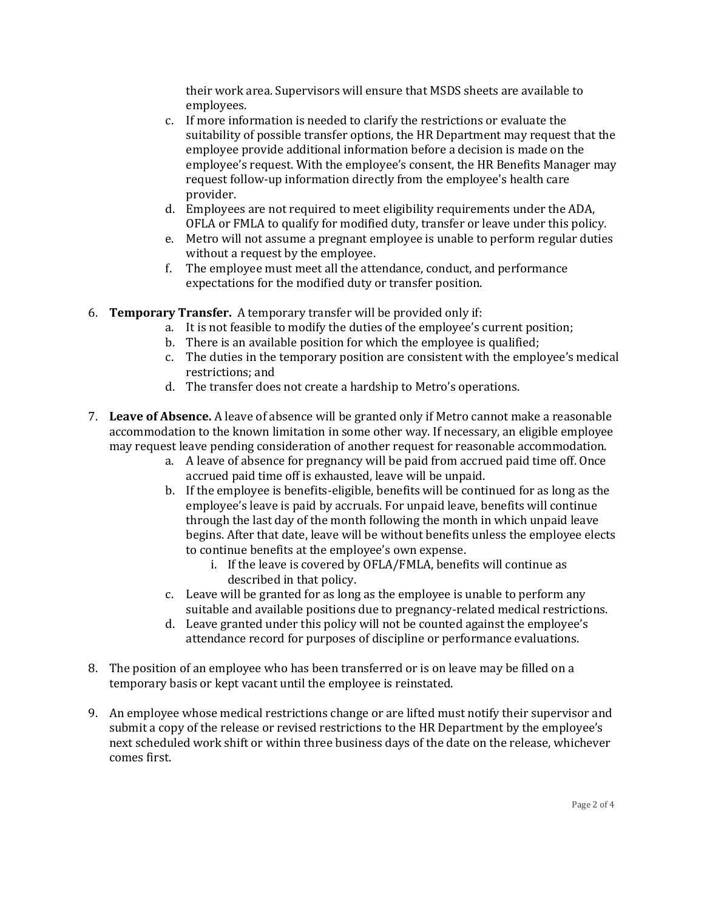their work area. Supervisors will ensure that MSDS sheets are available to employees.

- c. If more information is needed to clarify the restrictions or evaluate the suitability of possible transfer options, the HR Department may request that the employee provide additional information before a decision is made on the employee's request. With the employee's consent, the HR Benefits Manager may request follow-up information directly from the employee's health care provider.
- d. Employees are not required to meet eligibility requirements under the ADA, OFLA or FMLA to qualify for modified duty, transfer or leave under this policy.
- e. Metro will not assume a pregnant employee is unable to perform regular duties without a request by the employee.
- f. The employee must meet all the attendance, conduct, and performance expectations for the modified duty or transfer position.
- 6. **Temporary Transfer.** A temporary transfer will be provided only if:
	- a. It is not feasible to modify the duties of the employee's current position;
	- b. There is an available position for which the employee is qualified;
	- c. The duties in the temporary position are consistent with the employee's medical restrictions; and
	- d. The transfer does not create a hardship to Metro's operations.
- 7. **Leave of Absence.** A leave of absence will be granted only if Metro cannot make a reasonable accommodation to the known limitation in some other way. If necessary, an eligible employee may request leave pending consideration of another request for reasonable accommodation.
	- a. A leave of absence for pregnancy will be paid from accrued paid time off. Once accrued paid time off is exhausted, leave will be unpaid.
	- b. If the employee is benefits-eligible, benefits will be continued for as long as the employee's leave is paid by accruals. For unpaid leave, benefits will continue through the last day of the month following the month in which unpaid leave begins. After that date, leave will be without benefits unless the employee elects to continue benefits at the employee's own expense.
		- i. If the leave is covered by OFLA/FMLA, benefits will continue as described in that policy.
	- c. Leave will be granted for as long as the employee is unable to perform any suitable and available positions due to pregnancy-related medical restrictions.
	- d. Leave granted under this policy will not be counted against the employee's attendance record for purposes of discipline or performance evaluations.
- 8. The position of an employee who has been transferred or is on leave may be filled on a temporary basis or kept vacant until the employee is reinstated.
- 9. An employee whose medical restrictions change or are lifted must notify their supervisor and submit a copy of the release or revised restrictions to the HR Department by the employee's next scheduled work shift or within three business days of the date on the release, whichever comes first.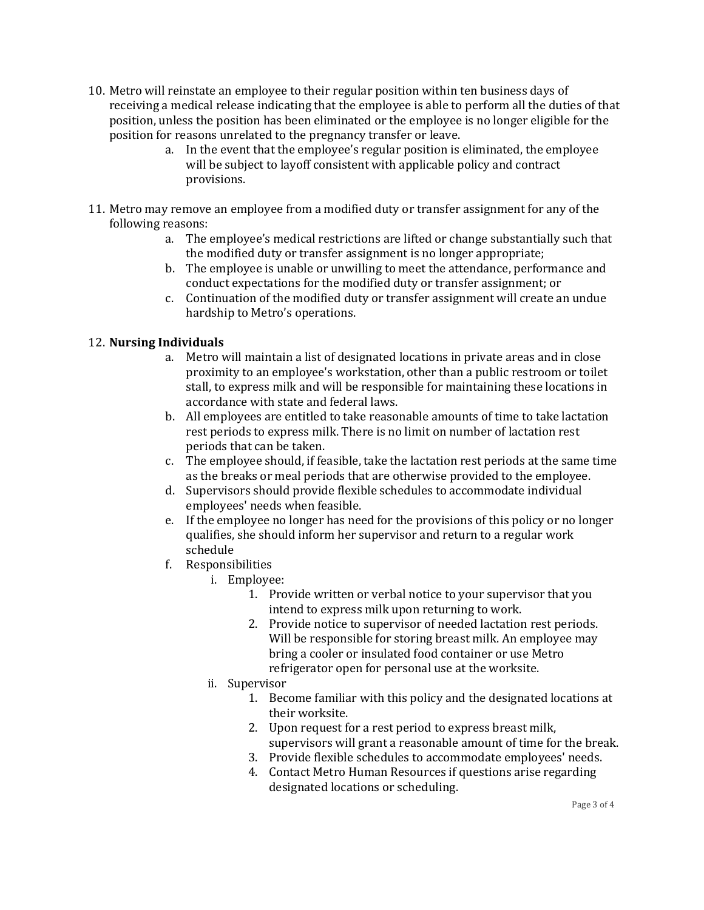- 10. Metro will reinstate an employee to their regular position within ten business days of receiving a medical release indicating that the employee is able to perform all the duties of that position, unless the position has been eliminated or the employee is no longer eligible for the position for reasons unrelated to the pregnancy transfer or leave.
	- a. In the event that the employee's regular position is eliminated, the employee will be subject to layoff consistent with applicable policy and contract provisions.
- 11. Metro may remove an employee from a modified duty or transfer assignment for any of the following reasons:
	- a. The employee's medical restrictions are lifted or change substantially such that the modified duty or transfer assignment is no longer appropriate;
	- b. The employee is unable or unwilling to meet the attendance, performance and conduct expectations for the modified duty or transfer assignment; or
	- c. Continuation of the modified duty or transfer assignment will create an undue hardship to Metro's operations.

## 12. **Nursing Individuals**

- a. Metro will maintain a list of designated locations in private areas and in close proximity to an employee's workstation, other than a public restroom or toilet stall, to express milk and will be responsible for maintaining these locations in accordance with state and federal laws.
- b. All employees are entitled to take reasonable amounts of time to take lactation rest periods to express milk. There is no limit on number of lactation rest periods that can be taken.
- c. The employee should, if feasible, take the lactation rest periods at the same time as the breaks or meal periods that are otherwise provided to the employee.
- d. Supervisors should provide flexible schedules to accommodate individual employees' needs when feasible.
- e. If the employee no longer has need for the provisions of this policy or no longer qualifies, she should inform her supervisor and return to a regular work schedule
- f. Responsibilities
	- i. Employee:
		- 1. Provide written or verbal notice to your supervisor that you intend to express milk upon returning to work.
		- 2. Provide notice to supervisor of needed lactation rest periods. Will be responsible for storing breast milk. An employee may bring a cooler or insulated food container or use Metro refrigerator open for personal use at the worksite.
	- ii. Supervisor
		- 1. Become familiar with this policy and the designated locations at their worksite.
		- 2. Upon request for a rest period to express breast milk, supervisors will grant a reasonable amount of time for the break.
		- 3. Provide flexible schedules to accommodate employees' needs.
		- 4. Contact Metro Human Resources if questions arise regarding designated locations or scheduling.